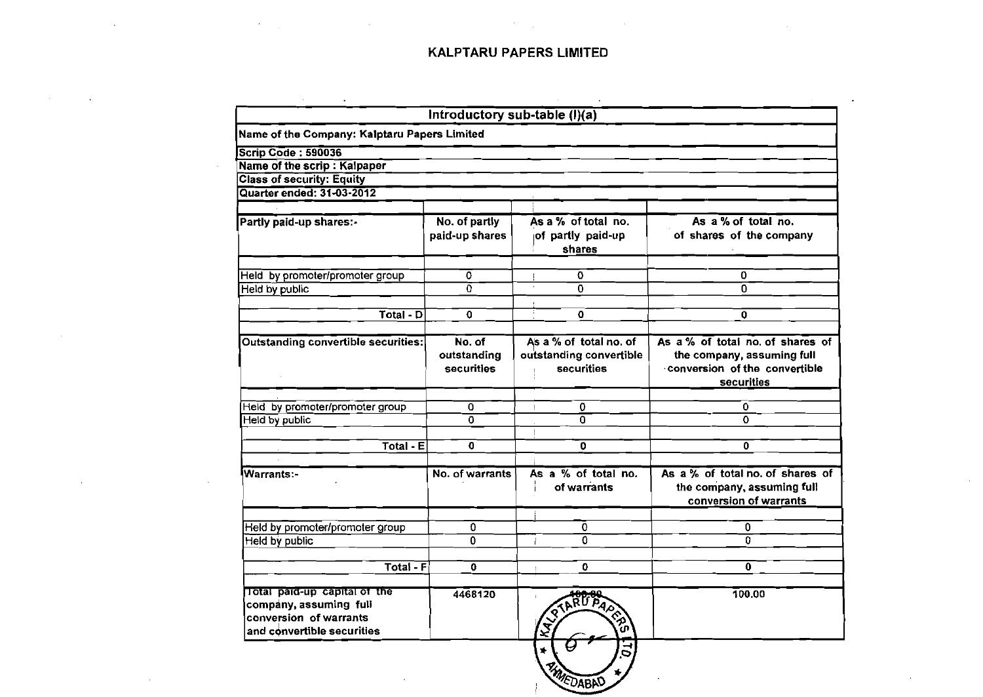$\mathcal{L}(\mathcal{L}(\mathcal{L}))$  and the contribution of the contribution of the contribution of the contribution of the contribution of the contribution of the contribution of the contribution of the contribution of the contribution

 $\mathcal{L}^{\text{max}}_{\text{max}}$  and  $\mathcal{L}^{\text{max}}_{\text{max}}$ 

 $\sim$ 

 $\mathcal{L}^{\mathcal{L}}(\mathcal{L}^{\mathcal{L}})$  and  $\mathcal{L}^{\mathcal{L}}(\mathcal{L}^{\mathcal{L}})$  . The contribution of the contribution of  $\mathcal{L}^{\mathcal{L}}$ 

 $\mathcal{L}^{\text{max}}_{\text{max}}$ 

 $\sim$ 

 $\sim 100$ 

 $\sim 10^{-1}$ 

|                                                                                                                |                                            | Introductory sub-table (I)(a)                                   |                                                                                                               |
|----------------------------------------------------------------------------------------------------------------|--------------------------------------------|-----------------------------------------------------------------|---------------------------------------------------------------------------------------------------------------|
| Name of the Company: Kalptaru Papers Limited                                                                   |                                            |                                                                 |                                                                                                               |
| <b>Scrip Code: 590036</b>                                                                                      |                                            |                                                                 |                                                                                                               |
| Name of the scrip : Kalpaper                                                                                   |                                            |                                                                 |                                                                                                               |
| <b>Class of security: Equity</b>                                                                               |                                            |                                                                 |                                                                                                               |
| Quarter ended: 31-03-2012                                                                                      |                                            |                                                                 |                                                                                                               |
| Partly paid-up shares:-                                                                                        | No. of partly<br>paid-up shares            | As a % of total no.<br>of partly paid-up<br>shares              | As a % of total no.<br>of shares of the company                                                               |
| Held by promoter/promoter group                                                                                | $\mathbf 0$                                | $\Omega$                                                        | 0                                                                                                             |
| Held by public                                                                                                 | $\overline{\Omega}$                        | Ō.                                                              | 0                                                                                                             |
| $Total - D$                                                                                                    | $\Omega$                                   | $\mathbf o$                                                     | 0                                                                                                             |
|                                                                                                                |                                            |                                                                 |                                                                                                               |
| <b>Outstanding convertible securities:</b>                                                                     | No. of<br>outstanding<br><b>securities</b> | As a % of total no. of<br>outstanding convertible<br>securities | As a % of total no. of shares of<br>the company, assuming full<br>conversion of the convertible<br>securities |
| Held by promoter/promoter group                                                                                | 0                                          | 0                                                               | 0                                                                                                             |
| Held by public                                                                                                 | $\overline{0}$                             | $\overline{0}$                                                  | 0                                                                                                             |
|                                                                                                                |                                            |                                                                 |                                                                                                               |
| $Total - E$                                                                                                    | $\mathbf 0$                                | O                                                               | 0                                                                                                             |
| Warrants:-                                                                                                     | No. of warrants                            | As $a\%$ of total no.<br>of warrants                            | As $a\%$ of total no. of shares of<br>the company, assuming full<br>conversion of warrants                    |
| Held by promoter/promoter group                                                                                | 0                                          | Ō                                                               | $\overline{\mathbf{0}}$                                                                                       |
| Held by public                                                                                                 | $\Omega$                                   | $\overline{0}$                                                  | $\overline{0}$                                                                                                |
| Total - $F$                                                                                                    | 0                                          | 0                                                               | $\mathbf{0}$                                                                                                  |
| Total paid-up capital of the<br>company, assuming full<br>conversion of warrants<br>and convertible securities | 4468120                                    | IKALA)<br>໌ທ                                                    | 100.00                                                                                                        |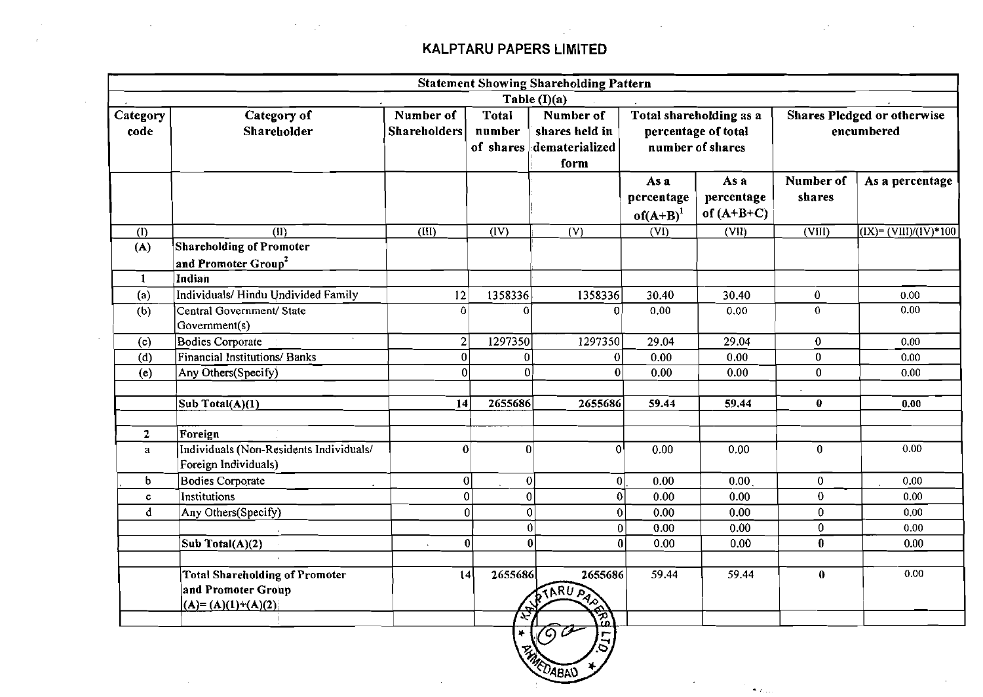$\mathbf{v}$  $\sim$   $\sim 10$ 

|                  |                                                                                    |                                  |                                                                                                                                                                                                                        | <b>Statement Showing Shareholding Pattern</b> |                                   |                                    |                     |                                                                        |
|------------------|------------------------------------------------------------------------------------|----------------------------------|------------------------------------------------------------------------------------------------------------------------------------------------------------------------------------------------------------------------|-----------------------------------------------|-----------------------------------|------------------------------------|---------------------|------------------------------------------------------------------------|
|                  |                                                                                    |                                  |                                                                                                                                                                                                                        | Table $(I)(a)$                                |                                   |                                    |                     |                                                                        |
| Category<br>code | Category of<br>Shareholder                                                         | Number of<br><b>Shareholders</b> | Number of<br><b>Total</b><br><b>Shares Pledged or otherwise</b><br>Total shareholding as a<br>number<br>shares held in<br>percentage of total<br>encumbered<br>number of shares<br>dematerialized<br>of shares<br>form |                                               |                                   |                                    |                     |                                                                        |
|                  |                                                                                    |                                  |                                                                                                                                                                                                                        |                                               | As a<br>percentage<br>$of(A+B)^1$ | As a<br>percentage<br>of $(A+B+C)$ | Number of<br>shares | As a percentage                                                        |
| (I)              | $\overline{(\text{II})}$                                                           | $(\text{III})$                   | $\overline{(IV)}$                                                                                                                                                                                                      | (V)                                           | $\overline{\text{(VI)}}$          | (VII)                              | (VIII)              | $\overline{(\text{IX})^2}$ $\overline{(\text{VIII})/(\text{IV})^*100}$ |
| (A)              | <b>Shareholding of Promoter</b>                                                    |                                  |                                                                                                                                                                                                                        |                                               |                                   |                                    |                     |                                                                        |
|                  | and Promoter Group <sup>2</sup>                                                    |                                  |                                                                                                                                                                                                                        |                                               |                                   |                                    |                     |                                                                        |
| $\mathbf{1}$     | Indian                                                                             |                                  |                                                                                                                                                                                                                        |                                               |                                   |                                    |                     |                                                                        |
| (a)              | Individuals/Hindu Undivided Family                                                 | 12                               | 1358336                                                                                                                                                                                                                | 1358336                                       | 30.40                             | 30.40                              | $\bf{0}$            | 0.00                                                                   |
| (b)              | Central Government/ State<br>Government(s)                                         | $\Omega$                         | $\Omega$                                                                                                                                                                                                               | 0                                             | 0.00                              | 0.00                               | $\bf{0}$            | 0.00                                                                   |
| (c)              | <b>Bodies Corporate</b>                                                            | $\overline{2}$                   | 1297350                                                                                                                                                                                                                | 1297350                                       | 29.04                             | 29.04                              | $\bf{0}$            | 0.00                                                                   |
| (d)              | <b>Financial Institutions/Banks</b>                                                | 0                                | $\bf{0}$                                                                                                                                                                                                               | $\bf{0}$                                      | 0.00                              | 0.00                               | $\bf{0}$            | 0.00                                                                   |
| (e)              | Any Others(Specify)                                                                | $\Omega$                         | $\Omega$                                                                                                                                                                                                               | $\mathbf{0}$                                  | 0.00                              | 0.00                               | $\bf{0}$            | 0.00                                                                   |
|                  | $\overline{\text{Sub Total}(A)(1)}$                                                | 14                               | 2655686                                                                                                                                                                                                                | 2655686                                       | 59.44                             | 59.44                              | $\bf{0}$            | 0.00                                                                   |
| $\mathbf{z}$     | Foreign                                                                            |                                  |                                                                                                                                                                                                                        |                                               |                                   |                                    |                     |                                                                        |
| $\mathbf{a}$     | Individuals (Non-Residents Individuals/<br>Foreign Individuals)                    | $\Omega$                         | $\overline{0}$                                                                                                                                                                                                         | 0 <sup>1</sup>                                | 0.00                              | 0.00                               | $\mathbf{0}$        | 0.00                                                                   |
| b                | <b>Bodies Corporate</b>                                                            | $\bf{0}$                         | $\boldsymbol{0}$                                                                                                                                                                                                       | 0                                             | 0.00                              | 0.00 <sub>1</sub>                  | $\mathbf{0}$        | 0.00                                                                   |
| c                | Institutions                                                                       | $\bf{0}$                         | $\overline{0}$                                                                                                                                                                                                         | $\overline{0}$                                | 0.00                              | 0.00                               | $\bf{0}$            | 0.00                                                                   |
| d                | Any Others(Specify)                                                                |                                  | $\boldsymbol{0}$<br>0                                                                                                                                                                                                  | 0                                             | 0.00                              | 0.00                               | $\bf{0}$            | 0.00                                                                   |
|                  |                                                                                    |                                  |                                                                                                                                                                                                                        | $\bf{0}$<br>$\Omega$                          | 0.00                              | 0.00                               | $\bf{0}$            | 0.00                                                                   |
|                  | Sub Total(A)(2)                                                                    |                                  | $\bf{0}$                                                                                                                                                                                                               | $\bf{0}$<br>$\mathbf{0}$                      | 0.00                              | 0.00                               | $\mathbf 0$         | 0.00                                                                   |
|                  | <b>Total Shareholding of Promoter</b><br>and Promoter Group<br>$(A)=(A)(1)+(A)(2)$ | 14                               | 2655686<br>岳                                                                                                                                                                                                           | 2655686<br><b>STARU PAR</b>                   | 59.44                             | 59.44                              | $\bf{0}$            | 0.00                                                                   |
|                  |                                                                                    |                                  | $\blacktriangleright$                                                                                                                                                                                                  | ie<br>B<br>$\sqrt{2}$<br>$\overline{a}$       |                                   |                                    |                     |                                                                        |

CABA

 $\left\langle \bullet \right\rangle_{\mathcal{I}\left(1,1\right)}$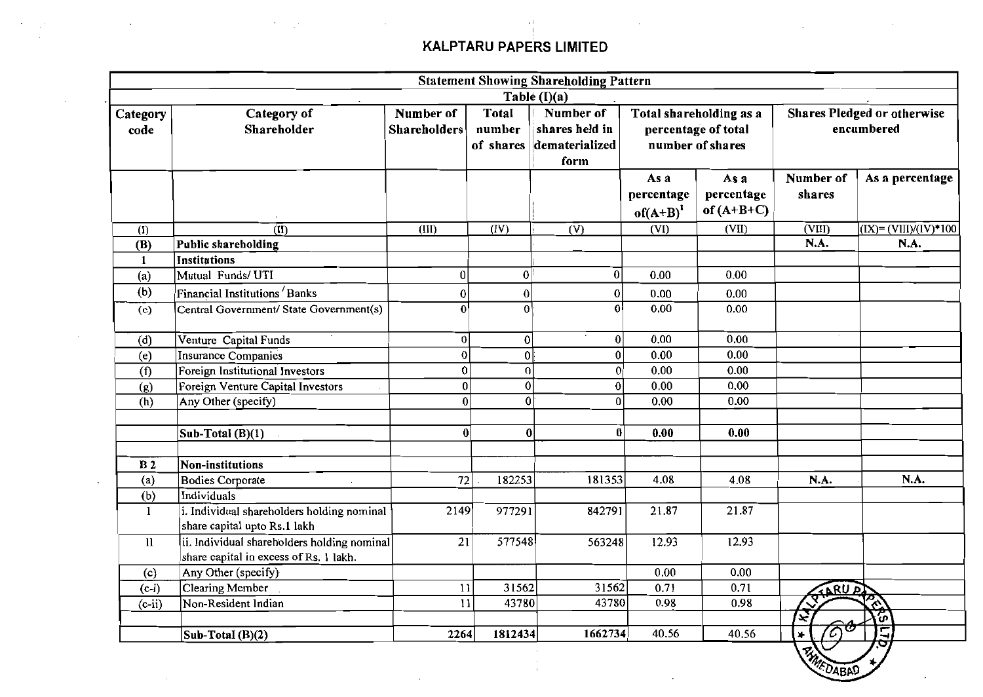$\sim$ 

|                  |                                                                                       |                                                                                                                                                                                                 |                  | <b>Statement Showing Shareholding Pattern</b> |                                     |                                           |                     |                                                             |
|------------------|---------------------------------------------------------------------------------------|-------------------------------------------------------------------------------------------------------------------------------------------------------------------------------------------------|------------------|-----------------------------------------------|-------------------------------------|-------------------------------------------|---------------------|-------------------------------------------------------------|
|                  |                                                                                       |                                                                                                                                                                                                 |                  | Table (I)(a)                                  |                                     |                                           |                     |                                                             |
| Category<br>code | Category of<br>Shareholder                                                            | Number of<br>Number of<br>Total<br>Total shareholding as a<br><b>Shareholders</b><br>number<br>percentage of total<br>shares held in<br>number of shares<br>dematerialized<br>of shares<br>form |                  |                                               |                                     | Shares Pledged or otherwise<br>encumbered |                     |                                                             |
|                  |                                                                                       |                                                                                                                                                                                                 |                  |                                               | As a<br>percentage<br>$of(A+B)^{1}$ | As a<br>percentage<br>of $(A+B+C)$        | Number of<br>shares | As a percentage                                             |
| (I)              | $\overline{(\mathbf{I})}$                                                             | (III)                                                                                                                                                                                           | (IV)             | $(\overline{V})$                              | (VI)                                | (VII)                                     | (VIII)              | $(\overline{IX}) = (\overline{VIII})/(\overline{IV}) * 100$ |
| (B)              | Public shareholding                                                                   |                                                                                                                                                                                                 |                  |                                               |                                     |                                           | N.A.                | N.A.                                                        |
| 1                | Institutions                                                                          |                                                                                                                                                                                                 |                  |                                               |                                     |                                           |                     |                                                             |
| (a)              | Mutual Funds/UTI                                                                      | $\overline{0}$                                                                                                                                                                                  | 0                | 0                                             | 0.00                                | 0.00                                      |                     |                                                             |
| (b)              | Financial Institutions Banks                                                          | 0                                                                                                                                                                                               | $\boldsymbol{0}$ | 0                                             | 0.00                                | 0.00                                      |                     |                                                             |
| (c)              | Central Government/ State Government(s)                                               | 0 <sup>1</sup>                                                                                                                                                                                  | $\overline{0}$   | $\mathbf{0}$                                  | 0.00                                | 0.00                                      |                     |                                                             |
| (d)              | Venture Capital Funds                                                                 | $\vert 0 \vert$                                                                                                                                                                                 | 0                | $\boldsymbol{0}$                              | 0.00                                | 0.00                                      |                     |                                                             |
| (e)              | Insurance Companies                                                                   | $\mathbf{0}$                                                                                                                                                                                    | $\mathbf 0$      | $\boldsymbol{0}$                              | 0.00                                | 0.00                                      |                     |                                                             |
| (f)              | Foreign Institutional Investors                                                       | 0                                                                                                                                                                                               | $\overline{0}$   | $\boldsymbol{0}$                              | 0.00                                | 0.00                                      |                     |                                                             |
| (g)              | Foreign Venture Capital Investors                                                     | $\mathbf 0$                                                                                                                                                                                     | $\mathbf 0$      | $\pmb{0}$                                     | 0.00                                | 0.00                                      |                     |                                                             |
| (h)              | Any Other (specify)                                                                   | $\overline{0}$                                                                                                                                                                                  | $\overline{0}$   | $\bf{0}$                                      | 0.00                                | 0.00                                      |                     |                                                             |
|                  | Sub-Total (B)(1)                                                                      | $\bf{0}$                                                                                                                                                                                        | $\boldsymbol{0}$ | 0                                             | 0.00                                | 0.00                                      |                     |                                                             |
| B <sub>2</sub>   | Non-institutions                                                                      |                                                                                                                                                                                                 |                  |                                               |                                     |                                           |                     |                                                             |
| (a)              | <b>Bodies Corporate</b>                                                               | 72                                                                                                                                                                                              | 182253           | 181353                                        | 4.08                                | 4.08                                      | N.A.                | N.A.                                                        |
| (b)              | <b>Individuals</b>                                                                    |                                                                                                                                                                                                 |                  |                                               |                                     |                                           |                     |                                                             |
| $\mathbf{l}$     | i. Individual shareholders holding nominal<br>share capital upto Rs.1 lakh            | 2149                                                                                                                                                                                            | 977291           | 842791                                        | 21.87                               | 21.87                                     |                     |                                                             |
| $\mathbf{ll}$    | ii. Individual shareholders holding nominal<br>share capital in excess of Rs. 1 lakh. | 21                                                                                                                                                                                              | 577548           | 563248                                        | 12.93                               | 12.93                                     |                     |                                                             |
| (c)              | Any Other (specify)                                                                   |                                                                                                                                                                                                 |                  |                                               | 0.00                                | 0.00                                      |                     |                                                             |
| $(c-i)$          | Clearing Member                                                                       | 11                                                                                                                                                                                              | 31562            | 31562                                         | 0.71                                | 0.71                                      | TARUAT              |                                                             |
| $(c-ii)$         | Non-Resident Indian                                                                   | 11                                                                                                                                                                                              | 43780            | 43780                                         | 0.98                                | 0.98                                      | ए                   | taren                                                       |
|                  |                                                                                       |                                                                                                                                                                                                 |                  |                                               |                                     |                                           | 区                   | ້ທ                                                          |
|                  | Sub-Total $(B)(2)$                                                                    | 2264                                                                                                                                                                                            | 1812434          | 1662734                                       | 40.56                               | 40.56                                     | ${\cal C}$<br>*     |                                                             |
|                  |                                                                                       |                                                                                                                                                                                                 |                  |                                               |                                     |                                           | 云                   |                                                             |

**UABP**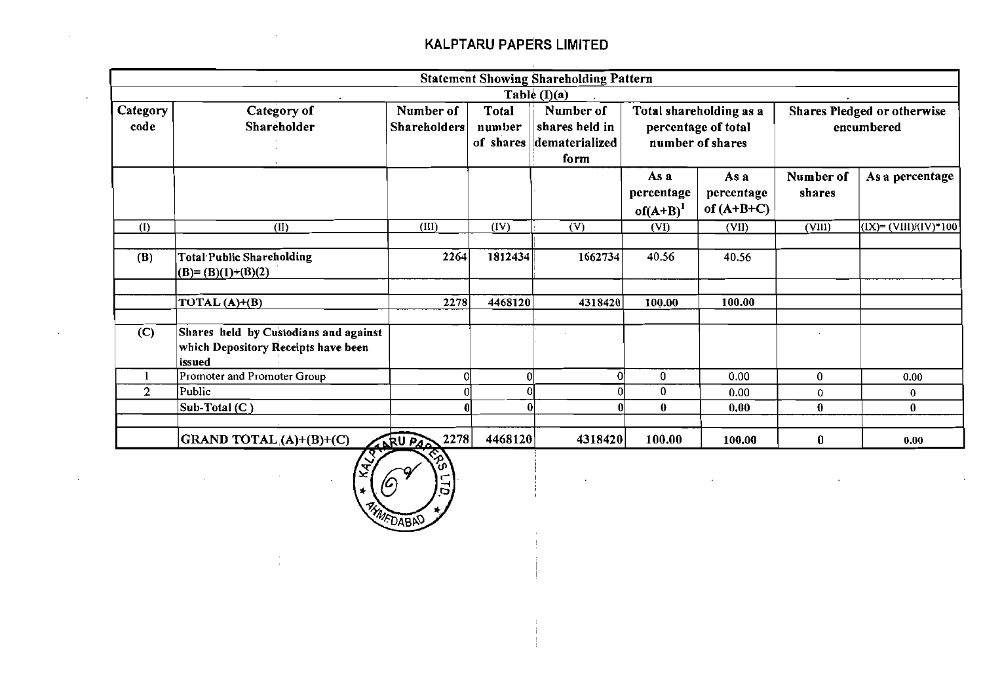|                |                                                                                        |                     |              | <b>Statement Showing Shareholding Pattern</b> |                                     |                                    |                                    |                          |
|----------------|----------------------------------------------------------------------------------------|---------------------|--------------|-----------------------------------------------|-------------------------------------|------------------------------------|------------------------------------|--------------------------|
|                |                                                                                        |                     |              | Table $(I)(a)$                                |                                     |                                    |                                    |                          |
| Category       | Category of                                                                            | Number of           | Total        | Number of                                     | Total shareholding as a             |                                    | <b>Shares Pledged or otherwise</b> |                          |
| code           | Shareholder                                                                            | <b>Shareholders</b> | number       | shares held in                                |                                     | percentage of total                |                                    | encumbered               |
|                |                                                                                        |                     | of shares    | dematerialized                                |                                     | number of shares                   |                                    |                          |
|                |                                                                                        |                     |              | form                                          |                                     |                                    |                                    |                          |
|                |                                                                                        |                     |              |                                               | As a<br>percentage<br>$of(A+B)^{1}$ | As a<br>percentage<br>of $(A+B+C)$ | Number of<br>shares                | As a percentage          |
| (I)            | (II)                                                                                   | (III)               | (IV)         | (V)                                           | (VI)                                | (VII)                              | (VIII)                             | $(IX) = (VIII)/(IV)*100$ |
|                |                                                                                        |                     |              |                                               |                                     |                                    |                                    |                          |
| (B)            | <b>Total Public Shareholding</b><br>$(B)=(B)(1)+(B)(2)$                                | 2264                | 1812434      | 1662734                                       | 40.56                               | 40.56                              |                                    |                          |
|                |                                                                                        |                     |              |                                               |                                     |                                    |                                    |                          |
|                | TOTAL $(A)+(B)$                                                                        | 2278                | 4468120      | 4318420                                       | 100.00                              | 100.00                             |                                    |                          |
|                |                                                                                        |                     |              |                                               |                                     |                                    |                                    |                          |
| (C)            | Shares held by Custodians and against<br>which Depository Receipts have been<br>issued |                     |              |                                               |                                     |                                    |                                    |                          |
|                | Promoter and Promoter Group                                                            |                     | 0            | $\Omega$                                      | $\bf{0}$                            | 0.00                               | 0                                  | 0.00                     |
| $\overline{2}$ | Public                                                                                 |                     |              |                                               | 0                                   | 0.00                               | $\bf{0}$                           | 0                        |
|                | Sub-Total (C)                                                                          |                     | $\mathbf{0}$ |                                               | $\bf{0}$                            | 0.00                               | $\bf{0}$                           | $\bf{0}$                 |
|                |                                                                                        |                     |              |                                               |                                     |                                    |                                    |                          |
|                | GRAND TOTAL $(A)+(B)+(C)$                                                              | 2278<br>ARU PAR     | 4468120      | 4318420                                       | 100.00                              | 100.00                             | 0                                  | 0.00                     |

÷

 $\cdot$ 

 $\cdot$ 

**KAL**  $\sqrt{6}$ c MEDABAD

 $\sim$ 

 $\ddot{\phantom{0}}$ 

 $\cdot$ 

 $\sim 100$ 

 $\ddot{\phantom{a}}$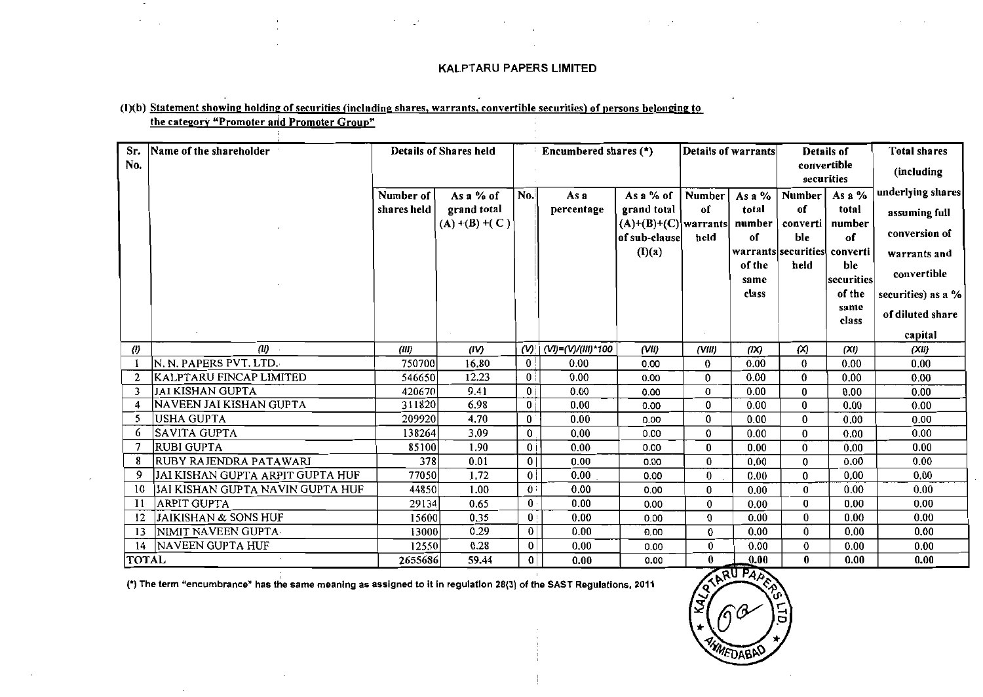#### (1)(b) Statement showing holding of securities (including shares, warrants, convertible securities) of persons belonging to the category "Promoter and Promoter Group"

 $\mathcal{L}_{\mathcal{A}}$ 

| Sr.                 | Name of the shareholder          |             | <b>Details of Shares held</b> |                             | Encumbered shares (*) |                        |                         | <b>Details of warrants</b> | Details of                |                      | <b>Total shares</b> |
|---------------------|----------------------------------|-------------|-------------------------------|-----------------------------|-----------------------|------------------------|-------------------------|----------------------------|---------------------------|----------------------|---------------------|
| No.                 |                                  |             |                               |                             |                       |                        |                         |                            | convertible<br>securities |                      | (including          |
|                     |                                  | Number of   | As a % of                     | No.                         | As a                  | As a % of              | Number                  | As a $%$                   | <b>Number</b>             | As a %               | underlying shares   |
|                     |                                  | shares held | grand total                   |                             | percentage            | grand total            | of                      | total                      | of                        | total                | assuming full       |
|                     |                                  |             | $(A)$ +(B) +(C)               |                             |                       | $(A)+(B)+(C)$ warrants |                         | number                     | converti                  | number               | conversion of       |
|                     |                                  |             |                               |                             |                       | of sub-clause          | held                    | of                         | ble                       | of                   |                     |
|                     |                                  |             |                               |                             |                       | (I)(a)                 |                         |                            | warrants securities       | converti             | warrants and        |
|                     |                                  |             |                               |                             |                       |                        |                         | of the                     | held                      | ble                  | convertible         |
|                     |                                  |             |                               |                             |                       |                        |                         | same<br>class              |                           | securities<br>of the |                     |
|                     |                                  |             |                               |                             |                       |                        |                         |                            |                           | same                 | securities) as a %  |
|                     |                                  |             |                               |                             |                       |                        |                         |                            |                           | class                | of diluted share    |
|                     |                                  |             |                               |                             |                       |                        |                         |                            |                           |                      | capital             |
| $\langle l \rangle$ | (II)                             | (III)       | (IV)                          | $(\mathsf{W})^{\mathsf{T}}$ | (VI)=(V)/(III)*100    | (VH)                   | (VIII)                  | (IX)                       | $\infty$                  | (XI)                 | (XII)               |
|                     | N. N. PAPERS PVT. LTD.           | 750700      | 16.80                         | $\bf{0}$                    | 0.00                  | 0.00                   | 0                       | 0.00                       | $\bf{0}$                  | 0.00                 | 0.00                |
| $\overline{2}$      | <b>KALPTARU FINCAP LIMITED</b>   | 546650      | 12.23                         | $\vert 0 \vert$             | 0.00                  | 0.00                   | $\bf{0}$                | 0.00                       | $\bf{0}$                  | 0.00                 | 0.00                |
| 3                   | <b>JAI KISHAN GUPTA</b>          | 420670      | 9.41                          | $\overline{0}$              | 0.00                  | 0.00                   | 0                       | 0.00                       | $\bf{0}$                  | 0.00                 | 0.00                |
| 4                   | NAVEEN JAI KISHAN GUPTA          | 311820      | 6.98                          | $\mathbf{0}$                | 0.00                  | 0.00                   | $\bf{0}$                | 0.00                       | $\bf{0}$                  | 0.00                 | 0.00                |
| -5                  | USHA GUPTA                       | 209920      | 4.70                          | 0                           | 0.00                  | 0.00                   | 0                       | 0.00                       | $\bf{0}$                  | 0.00                 | 0.00                |
| 6                   | SAVITA GUPTA                     | 138264      | 3.09                          | $\bf{0}$                    | 0.00                  | 0.00                   | 0                       | 0.00                       | $\bf{0}$                  | 0.00                 | 0.00                |
| -7                  | <b>RUBI GUPTA</b>                | 85100       | 1.90                          | $\mathbf{0}$                | 0.00                  | 0.00                   | 0                       | 0.00                       | $\bf{0}$                  | 0.00                 | 0.00                |
| -8                  | <b>RUBY RAJENDRA PATAWARI</b>    | 378         | 0.01                          | 0 <sup>1</sup>              | 0.00                  | 0.00                   | 0                       | 0.00                       | $\bf{0}$                  | 0.00                 | 0.00                |
| 9                   | JAI KISHAN GUPTA ARPIT GUPTA HUF | 77050       | 1.72                          | 0                           | 0.00                  | 0.00                   | $\bf{0}$                | 0.00                       | $\bf{0}$                  | 0,00                 | 0.00                |
| 10                  | JAI KISHAN GUPTA NAVIN GUPTA HUF | 44850       | 1.00                          | 0:                          | 0.00                  | 0.00                   | 0                       | 0.00                       | $\bf{0}$                  | 0.00                 | 0.00                |
| -11                 | ARPIT GUPTA                      | 29134       | 0.65                          | $0 \cdot$                   | 0.00                  | 0.00                   | $\mathbf{0}$            | 0.00                       | $\bf{0}$                  | 0.00                 | 0.00                |
| -12                 | JAIKISHAN & SONS HUF             | 15600       | 0.35                          | 0:                          | 0.00                  | 0.00                   | $\bf{0}$                | 0.00                       | $\bf{0}$                  | 0.00                 | 0.00                |
| 13                  | NIMIT NAVEEN GUPTA               | 13000       | 0.29                          | $\bf{0}$                    | 0.00                  | 0.00                   | $\mathbf{0}$            | 0.00                       | $\bf{0}$                  | 0.00                 | 0.00                |
| 14                  | NAVEEN GUPTA HUF                 | 12550       | 0.28                          | 0                           | 0.00                  | 0.00                   | 0                       | 0.00                       | 0                         | 0.00                 | 0.00                |
| <b>TOTAL</b>        |                                  | 2655686     | 59.44                         | $\mathbf{0}$                | 0.00                  | 0.00                   | $\overline{\mathbf{0}}$ | 0.00                       | $\bf{0}$                  | 0.00                 | 0.00                |

(\*) The term "encumbrance" has the same meaning as assigned to it in regulation 28(3) of the SAST Regulations, 2011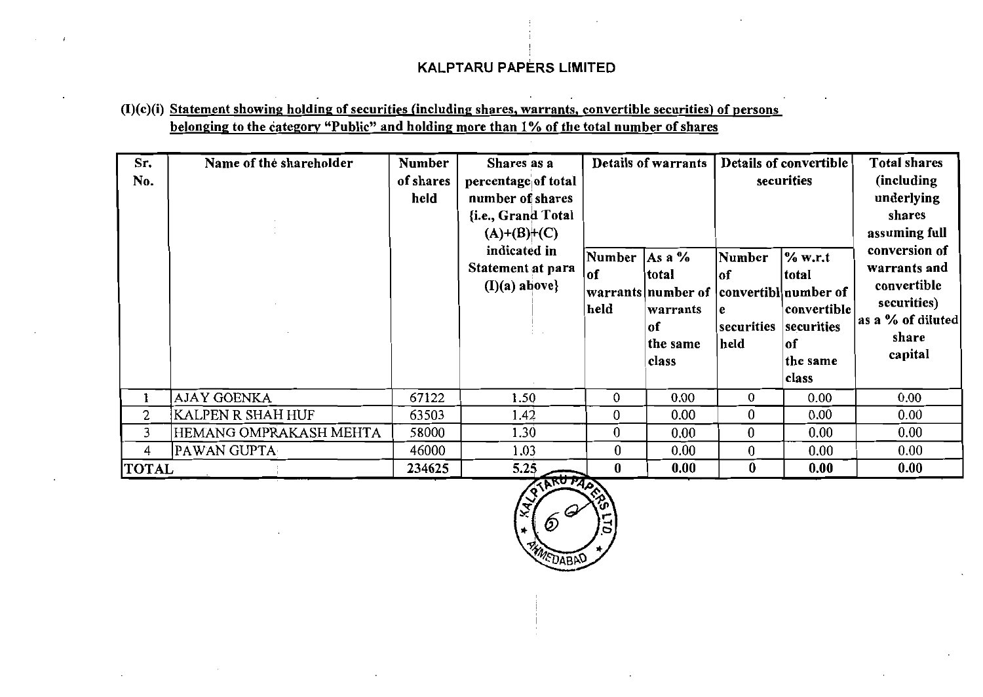## $(I)(c)(i)$  Statement showing holding of securities (including shares, warrants, convertible securities) of persons belonging to the category "Public" and holding more than 1% of the total number of shares

| Sr.<br>No.   | Name of the shareholder | <b>Number</b><br>of shares<br>held | Shares as a<br>percentage of total<br>number of shares<br>{i.e., Grand Total<br>$(A)+(B)+(C)$<br>indicated in<br>Statement at para<br>$(I)(a)$ above} | Number<br> of<br>held | Details of warrants<br>As a $%$<br>total<br> warrants number of  convertibl number of<br>warrants<br>of<br>the same<br>class | Number<br>lof<br>l e<br>securities<br>held | Details of convertible<br>securities<br>% w.r.t<br>total<br>convertible<br>securities<br> of<br>the same<br>class | <b>Total shares</b><br>(including<br>underlying<br>shares<br>assuming full<br>conversion of<br>warrants and<br>convertible<br>securities)<br>as a % of diluted<br>share<br>capital |
|--------------|-------------------------|------------------------------------|-------------------------------------------------------------------------------------------------------------------------------------------------------|-----------------------|------------------------------------------------------------------------------------------------------------------------------|--------------------------------------------|-------------------------------------------------------------------------------------------------------------------|------------------------------------------------------------------------------------------------------------------------------------------------------------------------------------|
|              | <b>AJAY GOENKA</b>      | 67122                              | 1.50                                                                                                                                                  | $\mathbf{0}$          | 0.00                                                                                                                         | 0                                          | 0.00                                                                                                              | 0.00                                                                                                                                                                               |
| 2            | KALPEN R SHAH HUF       | 63503                              | 1.42                                                                                                                                                  | $\bf{0}$              | 0.00                                                                                                                         | 0                                          | 0.00                                                                                                              | 0.00                                                                                                                                                                               |
| 3            | HEMANG OMPRAKASH MEHTA  | 58000                              | 1.30                                                                                                                                                  | $\bf{0}$              | 0.00                                                                                                                         | $\bf{0}$                                   | 0.00                                                                                                              | $0.00\,$                                                                                                                                                                           |
| 4            | PAWAN GUPTA             | 46000                              | 1.03                                                                                                                                                  | $\bf{0}$              | 0.00                                                                                                                         | $\bf{0}$                                   | 0.00                                                                                                              | 0.00                                                                                                                                                                               |
| <b>TOTAL</b> |                         | 234625                             | 5.25                                                                                                                                                  | $\bf{0}$              | 0.00                                                                                                                         | $\bf{0}$                                   | 0.00                                                                                                              | 0.00                                                                                                                                                                               |

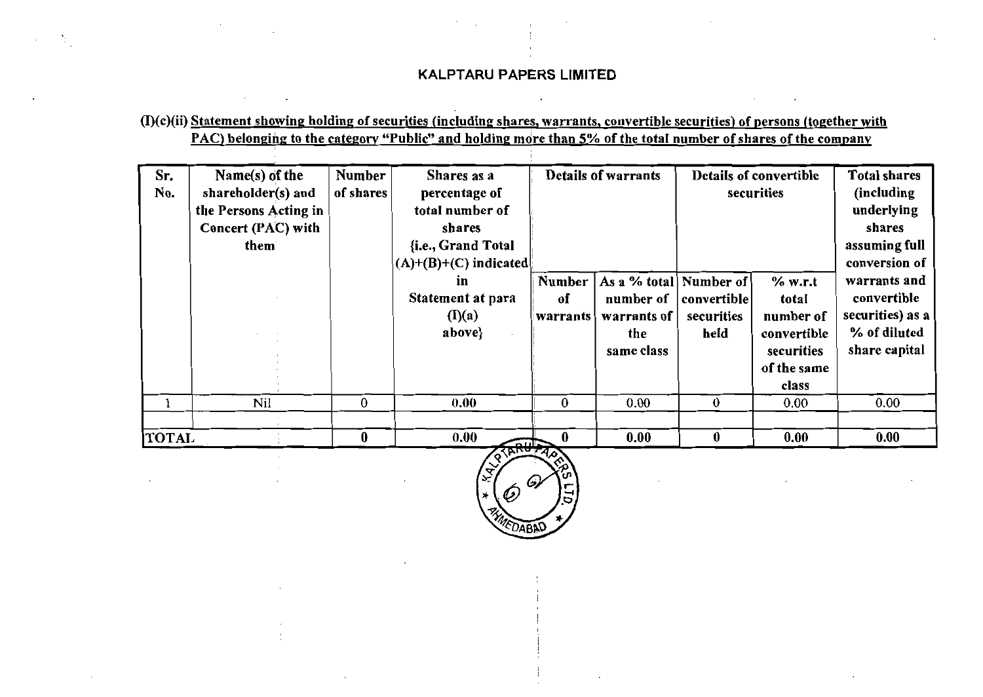## (I)(c)(ii) Statement showing holding of securities (including shares, warrants, convertible securities) of persons (together with PAC) belonging to the category "Public" and holding more than 5% of the total number of shares of the company

| Sr.<br>No.   | Name(s) of the<br>shareholder(s) and<br>the Persons Acting in<br>Concert (PAC) with<br>them | <b>Number</b><br>of shares | Shares as a<br>percentage of<br>total number of<br>shares<br>{i.e., Grand Total<br>$(A)+(B)+(C)$ indicated | Details of warrants             |                                                                         | Details of convertible<br>securities | <b>Total shares</b><br>(including<br>underlying<br>shares<br>assuming full<br>conversion of |                                                                                  |
|--------------|---------------------------------------------------------------------------------------------|----------------------------|------------------------------------------------------------------------------------------------------------|---------------------------------|-------------------------------------------------------------------------|--------------------------------------|---------------------------------------------------------------------------------------------|----------------------------------------------------------------------------------|
|              |                                                                                             |                            | in<br>Statement at para<br>(I)(a)<br>above}                                                                | <b>Number</b><br>of<br>warrants | As a % total Number of<br>number of<br>warrants of<br>the<br>same class | convertible<br>securities<br>held    | % w.r.t<br>total<br>number of<br>convertible<br>securities<br>of the same<br>class          | warrants and<br>convertible<br>securities) as a<br>% of diluted<br>share capital |
|              | Nil                                                                                         | $\bf{0}$                   | 0.00                                                                                                       | 0                               | 0.00                                                                    | 0                                    | 0.00                                                                                        | 0.00                                                                             |
| <b>TOTAL</b> |                                                                                             | 0                          | 0.00<br><b>Bull</b>                                                                                        | 0                               | 0.00                                                                    | $\bf{0}$                             | 0.00                                                                                        | 0.00                                                                             |

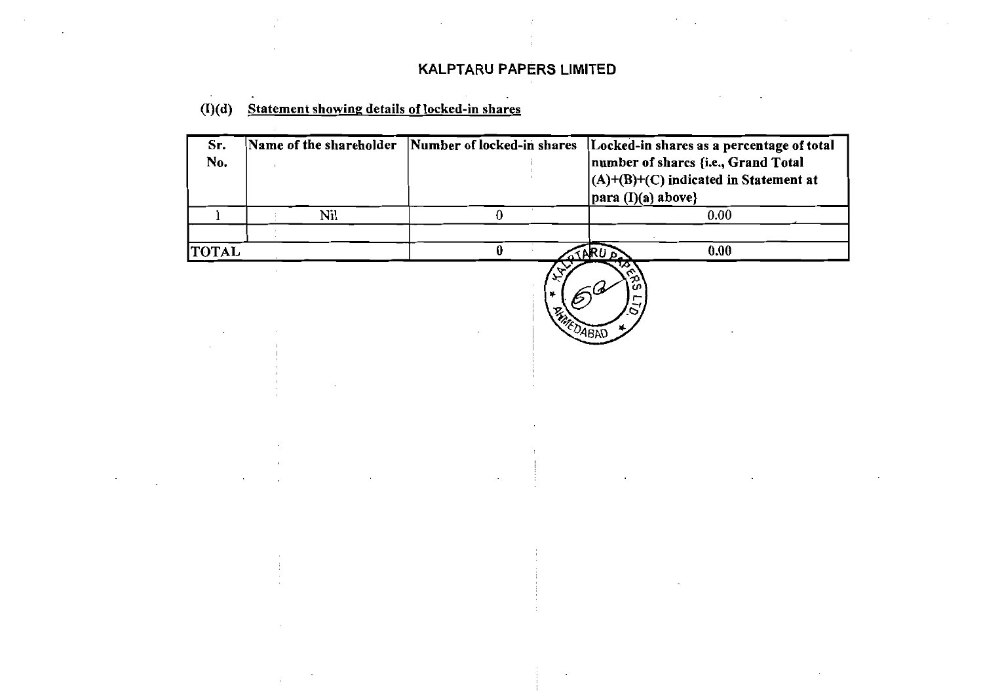# (I)(d) Statement showing details of locked-in shares

| Sr.<br>No.   | Name of the shareholder | Number of locked-in shares | Locked-in shares as a percentage of total<br>number of sharcs {i.e., Grand Total<br>$(A)+(B)+(C)$ indicated in Statement at<br>$\vert$ para (I)(a) above} |  |  |
|--------------|-------------------------|----------------------------|-----------------------------------------------------------------------------------------------------------------------------------------------------------|--|--|
|              | Nil                     |                            | 0.00                                                                                                                                                      |  |  |
|              |                         |                            |                                                                                                                                                           |  |  |
| <b>TOTAL</b> |                         |                            | 0.00<br>$ARU_0$                                                                                                                                           |  |  |
|              |                         |                            |                                                                                                                                                           |  |  |

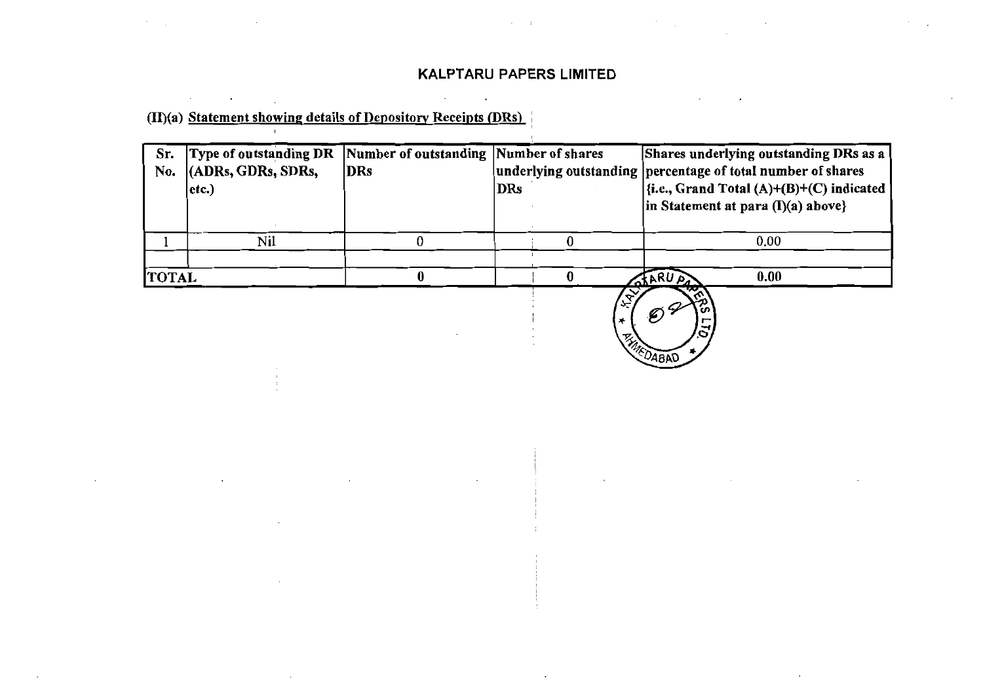$\mathcal{L}(\mathcal{L})$  and  $\mathcal{L}(\mathcal{L})$  . The  $\mathcal{L}(\mathcal{L})$ 

 $\sim$ 

(II)(a) Statement showing details of Depository Receipts (DRs)  $\sim 10^{-5}$ 

 $\mathcal{A}=\mathcal{A}$  , where  $\mathcal{A}=\mathcal{A}$  , and  $\mathcal{A}=\mathcal{A}$ 

 $\mathcal{L}^{\mathcal{L}}$  and  $\mathcal{L}^{\mathcal{L}}$  are  $\mathcal{L}^{\mathcal{L}}$  . Then  $\mathcal{L}^{\mathcal{L}}$  are  $\mathcal{L}^{\mathcal{L}}$ 

| Sr.          | Number of outstanding Number of shares<br>Type of outstanding DR |     |              | Shares underlying outstanding DRs as a                      |  |  |
|--------------|------------------------------------------------------------------|-----|--------------|-------------------------------------------------------------|--|--|
| No.          | (ADRs, GDRs, SDRs,                                               | DRs |              | underlying outstanding percentage of total number of shares |  |  |
|              | $ $ etc. $)$                                                     |     | DRs          | $\left  \{i.e., Grand Total (A)+(B)+(C) indicated }\right $ |  |  |
|              |                                                                  |     |              | $\ln$ Statement at para $(I)(a)$ above}                     |  |  |
|              |                                                                  |     |              |                                                             |  |  |
|              | Nil                                                              |     |              | 0.00                                                        |  |  |
|              |                                                                  |     |              |                                                             |  |  |
| <b>TOTAL</b> |                                                                  |     |              | 0.00<br><b>STARUAT</b>                                      |  |  |
|              |                                                                  |     | $\mathbf{v}$ |                                                             |  |  |

**MEDABAD** 

 $\mathcal{A}=\mathcal{A}$  and  $\mathcal{A}=\mathcal{A}$  are the set of the set of the set of the set of the set of  $\mathcal{A}$